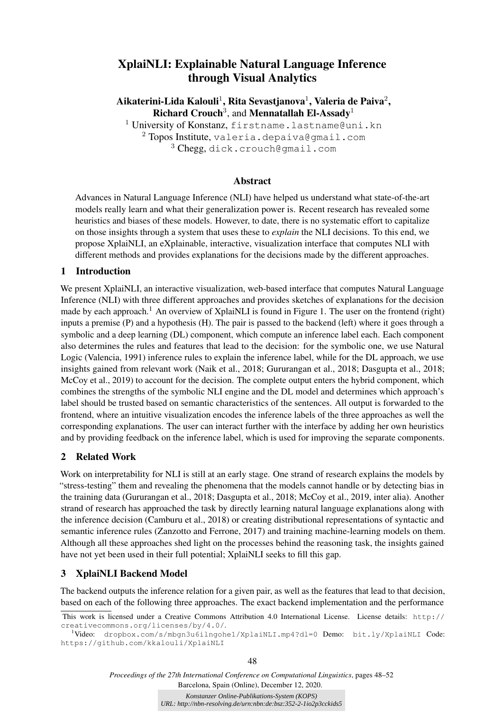# XplaiNLI: Explainable Natural Language Inference through Visual Analytics

Aikaterini-Lida Kalouli $^1$ , Rita Sevastjanova $^1$ , Valeria de Paiva $^2,$ Richard Crouch<sup>3</sup>, and Mennatallah El-Assady<sup>1</sup>

<sup>1</sup> University of Konstanz, firstname.lastname@uni.kn  $2$  Topos Institute, valeria.depaiva@gmail.com <sup>3</sup> Chegg, dick.crouch@gmail.com

### Abstract

Advances in Natural Language Inference (NLI) have helped us understand what state-of-the-art models really learn and what their generalization power is. Recent research has revealed some heuristics and biases of these models. However, to date, there is no systematic effort to capitalize on those insights through a system that uses these to *explain* the NLI decisions. To this end, we propose XplaiNLI, an eXplainable, interactive, visualization interface that computes NLI with different methods and provides explanations for the decisions made by the different approaches.

### 1 Introduction

We present XplaiNLI, an interactive visualization, web-based interface that computes Natural Language Inference (NLI) with three different approaches and provides sketches of explanations for the decision made by each approach.<sup>1</sup> An overview of XplaiNLI is found in Figure 1. The user on the frontend (right) inputs a premise (P) and a hypothesis (H). The pair is passed to the backend (left) where it goes through a symbolic and a deep learning (DL) component, which compute an inference label each. Each component also determines the rules and features that lead to the decision: for the symbolic one, we use Natural Logic (Valencia, 1991) inference rules to explain the inference label, while for the DL approach, we use insights gained from relevant work (Naik et al., 2018; Gururangan et al., 2018; Dasgupta et al., 2018; McCoy et al., 2019) to account for the decision. The complete output enters the hybrid component, which combines the strengths of the symbolic NLI engine and the DL model and determines which approach's label should be trusted based on semantic characteristics of the sentences. All output is forwarded to the frontend, where an intuitive visualization encodes the inference labels of the three approaches as well the corresponding explanations. The user can interact further with the interface by adding her own heuristics and by providing feedback on the inference label, which is used for improving the separate components.

# 2 Related Work

Work on interpretability for NLI is still at an early stage. One strand of research explains the models by "stress-testing" them and revealing the phenomena that the models cannot handle or by detecting bias in the training data (Gururangan et al., 2018; Dasgupta et al., 2018; McCoy et al., 2019, inter alia). Another strand of research has approached the task by directly learning natural language explanations along with the inference decision (Camburu et al., 2018) or creating distributional representations of syntactic and semantic inference rules (Zanzotto and Ferrone, 2017) and training machine-learning models on them. Although all these approaches shed light on the processes behind the reasoning task, the insights gained have not yet been used in their full potential; XplaiNLI seeks to fill this gap.

# 3 XplaiNLI Backend Model

The backend outputs the inference relation for a given pair, as well as the features that lead to that decision, based on each of the following three approaches. The exact backend implementation and the performance

*Proceedings of the 27th International Conference on Computational Linguistics*, pages 48–52 Barcelona, Spain (Online), December 12, 2020.

> *Konstanzer Online-Publikations-System (KOPS) URL: http://nbn-resolving.de/urn:nbn:de:bsz:352-2-1io2p3cckids5*

This work is licensed under a Creative Commons Attribution 4.0 International License. License details: http:// creativecommons.org/licenses/by/4.0/.

<sup>1</sup>Video: dropbox.com/s/mbgn3u6ilngohe1/XplaiNLI.mp4?dl=0 Demo: bit.ly/XplaiNLI Code: https://github.com/kkalouli/XplaiNLI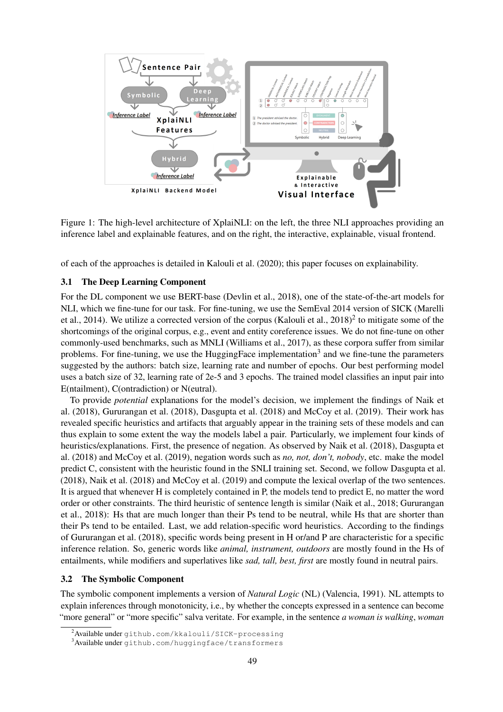

Figure 1: The high-level architecture of XplaiNLI: on the left, the three NLI approaches providing an inference label and explainable features, and on the right, the interactive, explainable, visual frontend.

of each of the approaches is detailed in Kalouli et al. (2020); this paper focuses on explainability.

#### 3.1 The Deep Learning Component

For the DL component we use BERT-base (Devlin et al., 2018), one of the state-of-the-art models for NLI, which we fine-tune for our task. For fine-tuning, we use the SemEval 2014 version of SICK (Marelli et al., 2014). We utilize a corrected version of the corpus (Kalouli et al.,  $2018)^2$  to mitigate some of the shortcomings of the original corpus, e.g., event and entity coreference issues. We do not fine-tune on other commonly-used benchmarks, such as MNLI (Williams et al., 2017), as these corpora suffer from similar problems. For fine-tuning, we use the HuggingFace implementation<sup>3</sup> and we fine-tune the parameters suggested by the authors: batch size, learning rate and number of epochs. Our best performing model uses a batch size of 32, learning rate of 2e-5 and 3 epochs. The trained model classifies an input pair into E(ntailment), C(ontradiction) or N(eutral).

To provide *potential* explanations for the model's decision, we implement the findings of Naik et al. (2018), Gururangan et al. (2018), Dasgupta et al. (2018) and McCoy et al. (2019). Their work has revealed specific heuristics and artifacts that arguably appear in the training sets of these models and can thus explain to some extent the way the models label a pair. Particularly, we implement four kinds of heuristics/explanations. First, the presence of negation. As observed by Naik et al. (2018), Dasgupta et al. (2018) and McCoy et al. (2019), negation words such as *no, not, don't, nobody*, etc. make the model predict C, consistent with the heuristic found in the SNLI training set. Second, we follow Dasgupta et al. (2018), Naik et al. (2018) and McCoy et al. (2019) and compute the lexical overlap of the two sentences. It is argued that whenever H is completely contained in P, the models tend to predict E, no matter the word order or other constraints. The third heuristic of sentence length is similar (Naik et al., 2018; Gururangan et al., 2018): Hs that are much longer than their Ps tend to be neutral, while Hs that are shorter than their Ps tend to be entailed. Last, we add relation-specific word heuristics. According to the findings of Gururangan et al. (2018), specific words being present in H or/and P are characteristic for a specific inference relation. So, generic words like *animal, instrument, outdoors* are mostly found in the Hs of entailments, while modifiers and superlatives like *sad, tall, best, first* are mostly found in neutral pairs.

#### 3.2 The Symbolic Component

The symbolic component implements a version of *Natural Logic* (NL) (Valencia, 1991). NL attempts to explain inferences through monotonicity, i.e., by whether the concepts expressed in a sentence can become "more general" or "more specific" salva veritate. For example, in the sentence *a woman is walking*, *woman*

<sup>2</sup>Available under github.com/kkalouli/SICK-processing

<sup>3</sup>Available under github.com/huggingface/transformers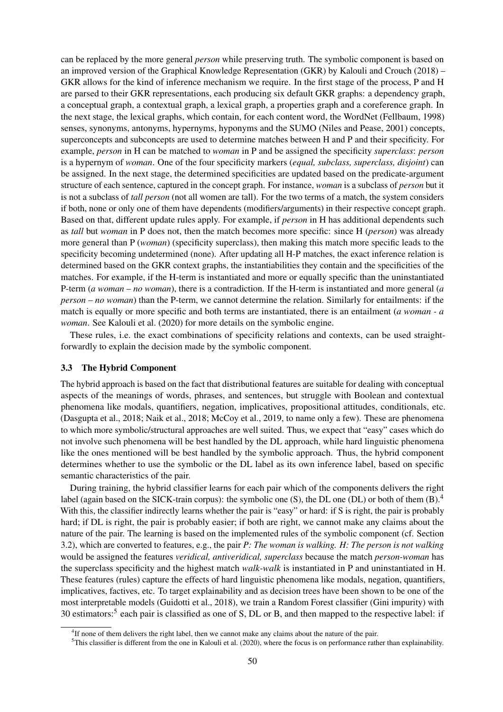can be replaced by the more general *person* while preserving truth. The symbolic component is based on an improved version of the Graphical Knowledge Representation (GKR) by Kalouli and Crouch (2018) – GKR allows for the kind of inference mechanism we require. In the first stage of the process, P and H are parsed to their GKR representations, each producing six default GKR graphs: a dependency graph, a conceptual graph, a contextual graph, a lexical graph, a properties graph and a coreference graph. In the next stage, the lexical graphs, which contain, for each content word, the WordNet (Fellbaum, 1998) senses, synonyms, antonyms, hypernyms, hyponyms and the SUMO (Niles and Pease, 2001) concepts, superconcepts and subconcepts are used to determine matches between H and P and their specificity. For example, *person* in H can be matched to *woman* in P and be assigned the specificity *superclass*: *person* is a hypernym of *woman*. One of the four specificity markers (*equal, subclass, superclass, disjoint*) can be assigned. In the next stage, the determined specificities are updated based on the predicate-argument structure of each sentence, captured in the concept graph. For instance, *woman* is a subclass of *person* but it is not a subclass of *tall person* (not all women are tall). For the two terms of a match, the system considers if both, none or only one of them have dependents (modifiers/arguments) in their respective concept graph. Based on that, different update rules apply. For example, if *person* in H has additional dependents such as *tall* but *woman* in P does not, then the match becomes more specific: since H (*person*) was already more general than P (*woman*) (specificity superclass), then making this match more specific leads to the specificity becoming undetermined (none). After updating all H-P matches, the exact inference relation is determined based on the GKR context graphs, the instantiabilities they contain and the specificities of the matches. For example, if the H-term is instantiated and more or equally specific than the uninstantiated P-term (*a woman* – *no woman*), there is a contradiction. If the H-term is instantiated and more general (*a person* – *no woman*) than the P-term, we cannot determine the relation. Similarly for entailments: if the match is equally or more specific and both terms are instantiated, there is an entailment (*a woman - a woman*. See Kalouli et al. (2020) for more details on the symbolic engine.

These rules, i.e. the exact combinations of specificity relations and contexts, can be used straightforwardly to explain the decision made by the symbolic component.

#### 3.3 The Hybrid Component

The hybrid approach is based on the fact that distributional features are suitable for dealing with conceptual aspects of the meanings of words, phrases, and sentences, but struggle with Boolean and contextual phenomena like modals, quantifiers, negation, implicatives, propositional attitudes, conditionals, etc. (Dasgupta et al., 2018; Naik et al., 2018; McCoy et al., 2019, to name only a few). These are phenomena to which more symbolic/structural approaches are well suited. Thus, we expect that "easy" cases which do not involve such phenomena will be best handled by the DL approach, while hard linguistic phenomena like the ones mentioned will be best handled by the symbolic approach. Thus, the hybrid component determines whether to use the symbolic or the DL label as its own inference label, based on specific semantic characteristics of the pair.

During training, the hybrid classifier learns for each pair which of the components delivers the right label (again based on the SICK-train corpus): the symbolic one (S), the DL one (DL) or both of them  $(B)$ .<sup>4</sup> With this, the classifier indirectly learns whether the pair is "easy" or hard: if S is right, the pair is probably hard; if DL is right, the pair is probably easier; if both are right, we cannot make any claims about the nature of the pair. The learning is based on the implemented rules of the symbolic component (cf. Section 3.2), which are converted to features, e.g., the pair *P: The woman is walking. H: The person is not walking* would be assigned the features *veridical, antiveridical, superclass* because the match *person-woman* has the superclass specificity and the highest match *walk-walk* is instantiated in P and uninstantiated in H. These features (rules) capture the effects of hard linguistic phenomena like modals, negation, quantifiers, implicatives, factives, etc. To target explainability and as decision trees have been shown to be one of the most interpretable models (Guidotti et al., 2018), we train a Random Forest classifier (Gini impurity) with 30 estimators:<sup>5</sup> each pair is classified as one of S, DL or B, and then mapped to the respective label: if

<sup>&</sup>lt;sup>4</sup>If none of them delivers the right label, then we cannot make any claims about the nature of the pair.

 $5$ This classifier is different from the one in Kalouli et al. (2020), where the focus is on performance rather than explainability.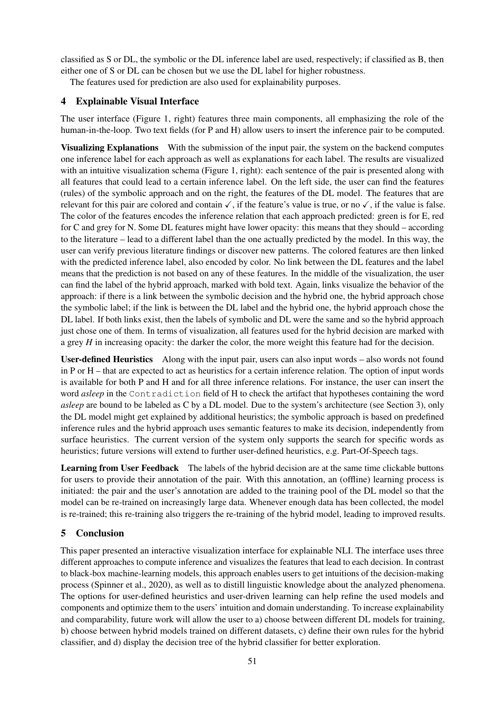classified as S or DL, the symbolic or the DL inference label are used, respectively; if classified as B, then either one of S or DL can be chosen but we use the DL label for higher robustness.

The features used for prediction are also used for explainability purposes.

# 4 Explainable Visual Interface

The user interface (Figure 1, right) features three main components, all emphasizing the role of the human-in-the-loop. Two text fields (for P and H) allow users to insert the inference pair to be computed.

Visualizing Explanations With the submission of the input pair, the system on the backend computes one inference label for each approach as well as explanations for each label. The results are visualized with an intuitive visualization schema (Figure 1, right): each sentence of the pair is presented along with all features that could lead to a certain inference label. On the left side, the user can find the features (rules) of the symbolic approach and on the right, the features of the DL model. The features that are relevant for this pair are colored and contain  $\checkmark$ , if the feature's value is true, or no  $\checkmark$ , if the value is false. The color of the features encodes the inference relation that each approach predicted: green is for E, red for C and grey for N. Some DL features might have lower opacity: this means that they should – according to the literature – lead to a different label than the one actually predicted by the model. In this way, the user can verify previous literature findings or discover new patterns. The colored features are then linked with the predicted inference label, also encoded by color. No link between the DL features and the label means that the prediction is not based on any of these features. In the middle of the visualization, the user can find the label of the hybrid approach, marked with bold text. Again, links visualize the behavior of the approach: if there is a link between the symbolic decision and the hybrid one, the hybrid approach chose the symbolic label; if the link is between the DL label and the hybrid one, the hybrid approach chose the DL label. If both links exist, then the labels of symbolic and DL were the same and so the hybrid approach just chose one of them. In terms of visualization, all features used for the hybrid decision are marked with a grey *H* in increasing opacity: the darker the color, the more weight this feature had for the decision.

User-defined Heuristics Along with the input pair, users can also input words – also words not found in P or H – that are expected to act as heuristics for a certain inference relation. The option of input words is available for both P and H and for all three inference relations. For instance, the user can insert the word *asleep* in the Contradiction field of H to check the artifact that hypotheses containing the word *asleep* are bound to be labeled as C by a DL model. Due to the system's architecture (see Section 3), only the DL model might get explained by additional heuristics; the symbolic approach is based on predefined inference rules and the hybrid approach uses semantic features to make its decision, independently from surface heuristics. The current version of the system only supports the search for specific words as heuristics; future versions will extend to further user-defined heuristics, e.g. Part-Of-Speech tags.

Learning from User Feedback The labels of the hybrid decision are at the same time clickable buttons for users to provide their annotation of the pair. With this annotation, an (offline) learning process is initiated: the pair and the user's annotation are added to the training pool of the DL model so that the model can be re-trained on increasingly large data. Whenever enough data has been collected, the model is re-trained; this re-training also triggers the re-training of the hybrid model, leading to improved results.

# 5 Conclusion

This paper presented an interactive visualization interface for explainable NLI. The interface uses three different approaches to compute inference and visualizes the features that lead to each decision. In contrast to black-box machine-learning models, this approach enables users to get intuitions of the decision-making process (Spinner et al., 2020), as well as to distill linguistic knowledge about the analyzed phenomena. The options for user-defined heuristics and user-driven learning can help refine the used models and components and optimize them to the users' intuition and domain understanding. To increase explainability and comparability, future work will allow the user to a) choose between different DL models for training, b) choose between hybrid models trained on different datasets, c) define their own rules for the hybrid classifier, and d) display the decision tree of the hybrid classifier for better exploration.